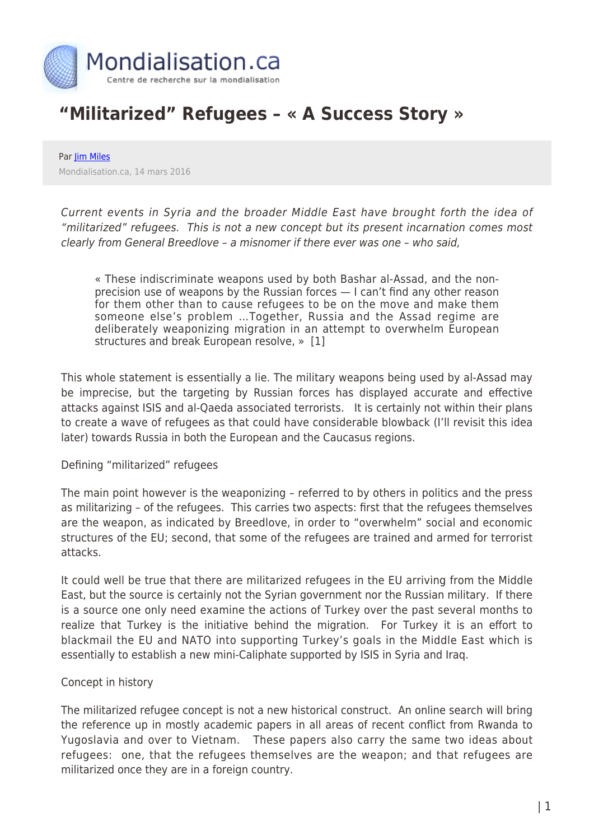

# **"Militarized" Refugees – « A Success Story »**

Par *[Jim Miles](https://www.mondialisation.ca/author/jim-miles)* Mondialisation.ca, 14 mars 2016

Current events in Syria and the broader Middle East have brought forth the idea of "militarized" refugees. This is not a new concept but its present incarnation comes most clearly from General Breedlove – a misnomer if there ever was one – who said,

« These indiscriminate weapons used by both Bashar al-Assad, and the nonprecision use of weapons by the Russian forces — I can't find any other reason for them other than to cause refugees to be on the move and make them someone else's problem …Together, Russia and the Assad regime are deliberately weaponizing migration in an attempt to overwhelm European structures and break European resolve, » [1]

This whole statement is essentially a lie. The military weapons being used by al-Assad may be imprecise, but the targeting by Russian forces has displayed accurate and effective attacks against ISIS and al-Qaeda associated terrorists. It is certainly not within their plans to create a wave of refugees as that could have considerable blowback (I'll revisit this idea later) towards Russia in both the European and the Caucasus regions.

## Defining "militarized" refugees

The main point however is the weaponizing – referred to by others in politics and the press as militarizing – of the refugees. This carries two aspects: first that the refugees themselves are the weapon, as indicated by Breedlove, in order to "overwhelm" social and economic structures of the EU; second, that some of the refugees are trained and armed for terrorist attacks.

It could well be true that there are militarized refugees in the EU arriving from the Middle East, but the source is certainly not the Syrian government nor the Russian military. If there is a source one only need examine the actions of Turkey over the past several months to realize that Turkey is the initiative behind the migration. For Turkey it is an effort to blackmail the EU and NATO into supporting Turkey's goals in the Middle East which is essentially to establish a new mini-Caliphate supported by ISIS in Syria and Iraq.

## Concept in history

The militarized refugee concept is not a new historical construct. An online search will bring the reference up in mostly academic papers in all areas of recent conflict from Rwanda to Yugoslavia and over to Vietnam. These papers also carry the same two ideas about refugees: one, that the refugees themselves are the weapon; and that refugees are militarized once they are in a foreign country.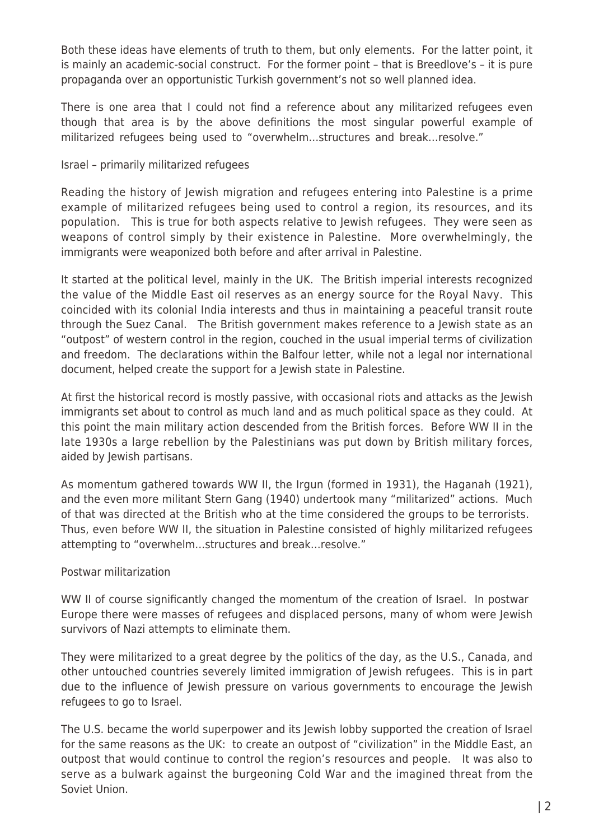Both these ideas have elements of truth to them, but only elements. For the latter point, it is mainly an academic-social construct. For the former point – that is Breedlove's – it is pure propaganda over an opportunistic Turkish government's not so well planned idea.

There is one area that I could not find a reference about any militarized refugees even though that area is by the above definitions the most singular powerful example of militarized refugees being used to "overwhelm…structures and break…resolve."

## Israel – primarily militarized refugees

Reading the history of Jewish migration and refugees entering into Palestine is a prime example of militarized refugees being used to control a region, its resources, and its population. This is true for both aspects relative to Jewish refugees. They were seen as weapons of control simply by their existence in Palestine. More overwhelmingly, the immigrants were weaponized both before and after arrival in Palestine.

It started at the political level, mainly in the UK. The British imperial interests recognized the value of the Middle East oil reserves as an energy source for the Royal Navy. This coincided with its colonial India interests and thus in maintaining a peaceful transit route through the Suez Canal. The British government makes reference to a Jewish state as an "outpost" of western control in the region, couched in the usual imperial terms of civilization and freedom. The declarations within the Balfour letter, while not a legal nor international document, helped create the support for a Jewish state in Palestine.

At first the historical record is mostly passive, with occasional riots and attacks as the Jewish immigrants set about to control as much land and as much political space as they could. At this point the main military action descended from the British forces. Before WW II in the late 1930s a large rebellion by the Palestinians was put down by British military forces, aided by Jewish partisans.

As momentum gathered towards WW II, the Irgun (formed in 1931), the Haganah (1921), and the even more militant Stern Gang (1940) undertook many "militarized" actions. Much of that was directed at the British who at the time considered the groups to be terrorists. Thus, even before WW II, the situation in Palestine consisted of highly militarized refugees attempting to "overwhelm…structures and break…resolve."

## Postwar militarization

WW II of course significantly changed the momentum of the creation of Israel. In postwar Europe there were masses of refugees and displaced persons, many of whom were Jewish survivors of Nazi attempts to eliminate them.

They were militarized to a great degree by the politics of the day, as the U.S., Canada, and other untouched countries severely limited immigration of Jewish refugees. This is in part due to the influence of Jewish pressure on various governments to encourage the Jewish refugees to go to Israel.

The U.S. became the world superpower and its lewish lobby supported the creation of Israel for the same reasons as the UK: to create an outpost of "civilization" in the Middle East, an outpost that would continue to control the region's resources and people. It was also to serve as a bulwark against the burgeoning Cold War and the imagined threat from the Soviet Union.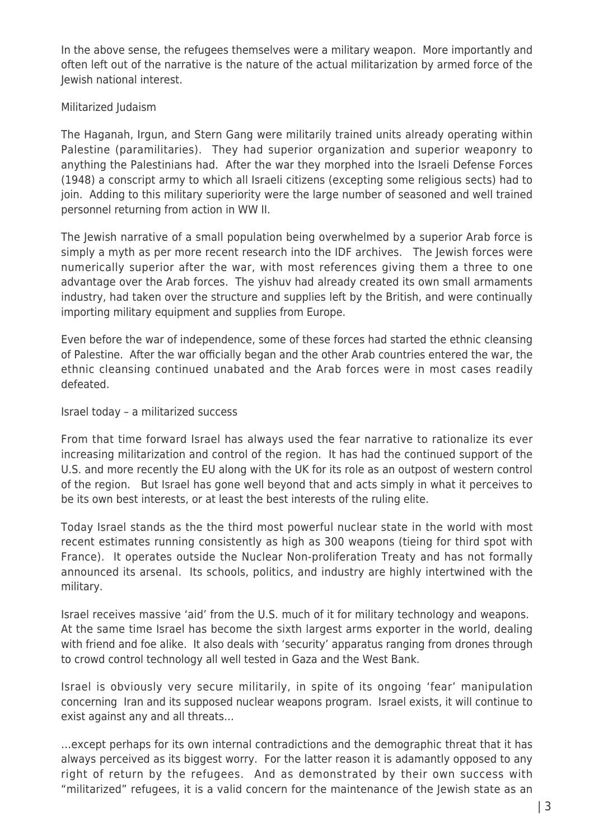In the above sense, the refugees themselves were a military weapon. More importantly and often left out of the narrative is the nature of the actual militarization by armed force of the Jewish national interest.

## Militarized Judaism

The Haganah, Irgun, and Stern Gang were militarily trained units already operating within Palestine (paramilitaries). They had superior organization and superior weaponry to anything the Palestinians had. After the war they morphed into the Israeli Defense Forces (1948) a conscript army to which all Israeli citizens (excepting some religious sects) had to join. Adding to this military superiority were the large number of seasoned and well trained personnel returning from action in WW II.

The Jewish narrative of a small population being overwhelmed by a superior Arab force is simply a myth as per more recent research into the IDF archives. The Jewish forces were numerically superior after the war, with most references giving them a three to one advantage over the Arab forces. The yishuv had already created its own small armaments industry, had taken over the structure and supplies left by the British, and were continually importing military equipment and supplies from Europe.

Even before the war of independence, some of these forces had started the ethnic cleansing of Palestine. After the war officially began and the other Arab countries entered the war, the ethnic cleansing continued unabated and the Arab forces were in most cases readily defeated.

## Israel today – a militarized success

From that time forward Israel has always used the fear narrative to rationalize its ever increasing militarization and control of the region. It has had the continued support of the U.S. and more recently the EU along with the UK for its role as an outpost of western control of the region. But Israel has gone well beyond that and acts simply in what it perceives to be its own best interests, or at least the best interests of the ruling elite.

Today Israel stands as the the third most powerful nuclear state in the world with most recent estimates running consistently as high as 300 weapons (tieing for third spot with France). It operates outside the Nuclear Non-proliferation Treaty and has not formally announced its arsenal. Its schools, politics, and industry are highly intertwined with the military.

Israel receives massive 'aid' from the U.S. much of it for military technology and weapons. At the same time Israel has become the sixth largest arms exporter in the world, dealing with friend and foe alike. It also deals with 'security' apparatus ranging from drones through to crowd control technology all well tested in Gaza and the West Bank.

Israel is obviously very secure militarily, in spite of its ongoing 'fear' manipulation concerning Iran and its supposed nuclear weapons program. Israel exists, it will continue to exist against any and all threats…

…except perhaps for its own internal contradictions and the demographic threat that it has always perceived as its biggest worry. For the latter reason it is adamantly opposed to any right of return by the refugees. And as demonstrated by their own success with "militarized" refugees, it is a valid concern for the maintenance of the Jewish state as an